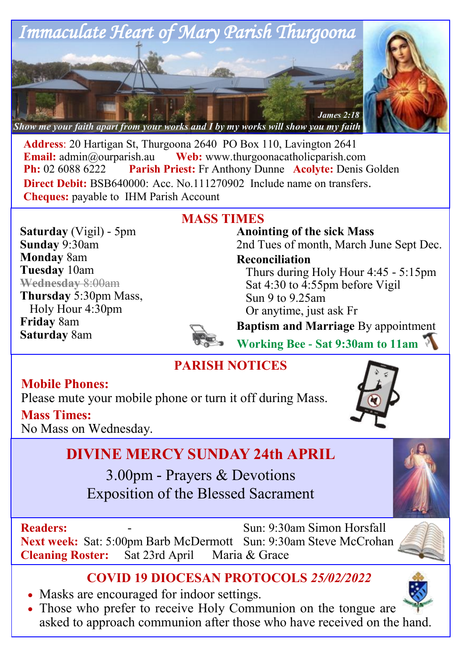

**Address**: 20 Hartigan St, Thurgoona 2640 PO Box 110, Lavington 2641 **Email:**  $\alpha$ <sup>o</sup> admin $\alpha$ <sup>o</sup> aurearish.au **Web:** www.thurgoonacatholicparish.com **Ph:** 02 6088 6222 **Parish Priest:** Fr Anthony Dunne **Acolyte:** Denis Golden **Direct Debit: BSB640000: Acc. No.111270902** Include name on transfers. **Cheques:** payable to IHM Parish Account

**MASS TIMES**

**Saturday** (Vigil) - 5pm **Sunday** 9:30am **Monday** 8am **Tuesday** 10am **Wednesday** 8:00am **Thursday** 5:30pm Mass, Holy Hour 4:30pm **Friday** 8am **Saturday** 8am

**Anointing of the sick Mass** 2nd Tues of month, March June Sept Dec.

**Reconciliation** 

Thurs during Holy Hour 4:45 - 5:15pm Sat 4:30 to 4:55pm before Vigil Sun 9 to 9.25am Or anytime, just ask Fr

**Baptism and Marriage** By appointment

**Working Bee - Sat 9:30am to 11am**

## **PARISH NOTICES**

### **Mobile Phones:**

Please mute your mobile phone or turn it off during Mass.

### **Mass Times:**

No Mass on Wednesday.

# **DIVINE MERCY SUNDAY 24th APRIL**

3.00pm - Prayers & Devotions Exposition of the Blessed Sacrament

**Readers:** The Contract Leaders: The Sun: 9:30am Simon Horsfall **Next week:** Sat: 5:00pm Barb McDermott Sun: 9:30am Steve McCrohan **Cleaning Roster:** Sat 23rd April Maria & Grace

## **COVID 19 DIOCESAN PROTOCOLS** *25/02/2022*

- Masks are encouraged for indoor settings.
- Those who prefer to receive Holy Communion on the tongue are asked to approach communion after those who have received on the hand.









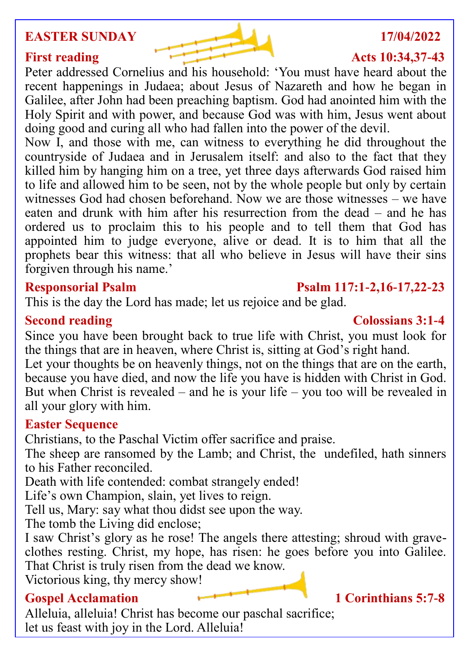

Peter addressed Cornelius and his household: 'You must have heard about the recent happenings in Judaea; about Jesus of Nazareth and how he began in Galilee, after John had been preaching baptism. God had anointed him with the Holy Spirit and with power, and because God was with him, Jesus went about doing good and curing all who had fallen into the power of the devil.

Now I, and those with me, can witness to everything he did throughout the countryside of Judaea and in Jerusalem itself: and also to the fact that they killed him by hanging him on a tree, yet three days afterwards God raised him to life and allowed him to be seen, not by the whole people but only by certain witnesses God had chosen beforehand. Now we are those witnesses – we have eaten and drunk with him after his resurrection from the dead – and he has ordered us to proclaim this to his people and to tell them that God has appointed him to judge everyone, alive or dead. It is to him that all the prophets bear this witness: that all who believe in Jesus will have their sins forgiven through his name.'

### **Responsorial Psalm Psalm 117:1-2,16-17,22-23**

This is the day the Lord has made; let us rejoice and be glad.

### **Second reading Colossians 3:1-4**

Since you have been brought back to true life with Christ, you must look for the things that are in heaven, where Christ is, sitting at God's right hand.

Let your thoughts be on heavenly things, not on the things that are on the earth, because you have died, and now the life you have is hidden with Christ in God. But when Christ is revealed – and he is your life – you too will be revealed in all your glory with him.

### **Easter Sequence**

Christians, to the Paschal Victim offer sacrifice and praise.

The sheep are ransomed by the Lamb; and Christ, the undefiled, hath sinners to his Father reconciled.

Death with life contended: combat strangely ended!

Life's own Champion, slain, yet lives to reign.

Tell us, Mary: say what thou didst see upon the way.

The tomb the Living did enclose;

I saw Christ's glory as he rose! The angels there attesting; shroud with graveclothes resting. Christ, my hope, has risen: he goes before you into Galilee. That Christ is truly risen from the dead we know.

Victorious king, thy mercy show!

### **Gospel Acclamation 1 Corinthians 5:7-8**

Alleluia, alleluia! Christ has become our paschal sacrifice; let us feast with joy in the Lord. Alleluia!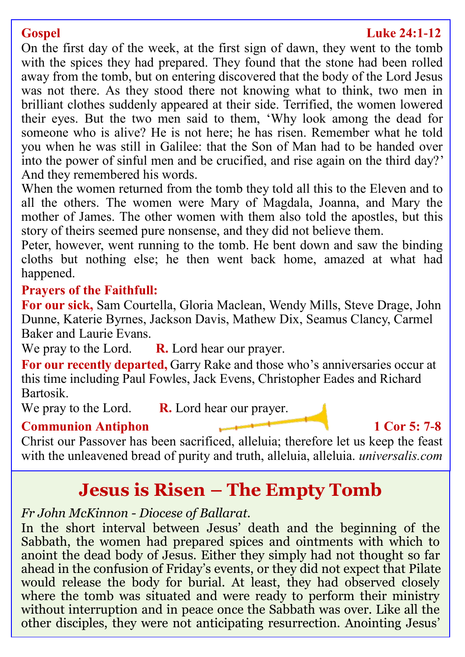### **Gospel Luke 24:1-12**

On the first day of the week, at the first sign of dawn, they went to the tomb with the spices they had prepared. They found that the stone had been rolled away from the tomb, but on entering discovered that the body of the Lord Jesus was not there. As they stood there not knowing what to think, two men in brilliant clothes suddenly appeared at their side. Terrified, the women lowered their eyes. But the two men said to them, 'Why look among the dead for someone who is alive? He is not here; he has risen. Remember what he told you when he was still in Galilee: that the Son of Man had to be handed over into the power of sinful men and be crucified, and rise again on the third day?' And they remembered his words.

When the women returned from the tomb they told all this to the Eleven and to all the others. The women were Mary of Magdala, Joanna, and Mary the mother of James. The other women with them also told the apostles, but this story of theirs seemed pure nonsense, and they did not believe them.

Peter, however, went running to the tomb. He bent down and saw the binding cloths but nothing else; he then went back home, amazed at what had happened.

### **Prayers of the Faithfull:**

**For our sick,** Sam Courtella, Gloria Maclean, Wendy Mills, Steve Drage, John Dunne, Katerie Byrnes, Jackson Davis, Mathew Dix, Seamus Clancy, Carmel Baker and Laurie Evans.

We pray to the Lord. **R.** Lord hear our prayer.

**For our recently departed,** Garry Rake and those who's anniversaries occur at this time including Paul Fowles, Jack Evens, Christopher Eades and Richard Bartosik.

We pray to the Lord. **R.** Lord hear our prayer.

### **Communion Antiphon 1 Cor 5: 7-8**

Christ our Passover has been sacrificed, alleluia; therefore let us keep the feast with the unleavened bread of purity and truth, alleluia, alleluia. *universalis.com*

# **Jesus is Risen – The Empty Tomb**

*Fr John McKinnon - Diocese of Ballarat.*

In the short interval between Jesus' death and the beginning of the Sabbath, the women had prepared spices and ointments with which to anoint the dead body of Jesus. Either they simply had not thought so far ahead in the confusion of Friday's events, or they did not expect that Pilate would release the body for burial. At least, they had observed closely where the tomb was situated and were ready to perform their ministry without interruption and in peace once the Sabbath was over. Like all the other disciples, they were not anticipating resurrection. Anointing Jesus'